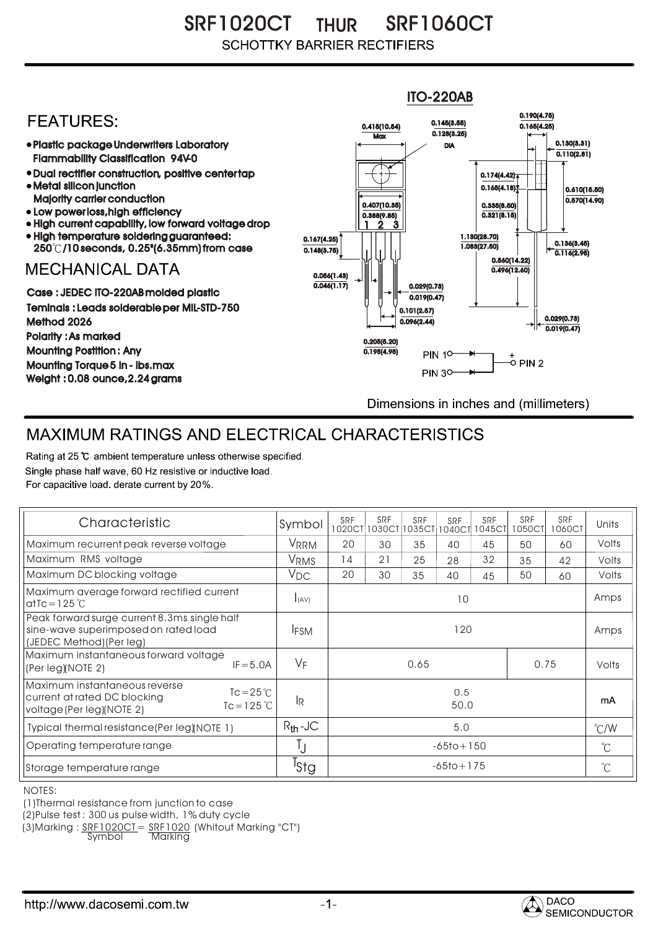SRF1020CT THUR SRF1060CT **SCHOTTKY BARRIER RECTIFIERS** 



## MAXIMUM RATINGS AND ELECTRICAL CHARACTERISTICS

Rating at 25 °C ambient temperature unless otherwise specified. Single phase half wave, 60 Hz resistive or inductive load. For capacitive load, derate current by 20%.

| Characteristic                                                                                                                     | Symbol           | SRF<br>1020CT  | <b>SRF</b><br>1030CT | <b>SRF</b><br>1035CT | <b>SRF</b><br>1040CT | SRF<br>1045CT | SRF<br>1050CT | <b>SRF</b><br>1060CT | Units         |
|------------------------------------------------------------------------------------------------------------------------------------|------------------|----------------|----------------------|----------------------|----------------------|---------------|---------------|----------------------|---------------|
| Maximum recurrent peak reverse voltage                                                                                             | VRRM             | 20             | 30                   | 35                   | 40                   | 45            | 50            | 60                   | Volts         |
| Maximum RMS voltage                                                                                                                | VRMS             | 14             | 21                   | 25                   | 28                   | 32            | 35            | 42                   | Volts         |
| Maximum DC blocking voltage                                                                                                        | $V_{DC}$         | 20             | 30                   | 35                   | 40                   | 45            | 50            | 60                   | Volts         |
| Maximum average forward rectified current<br>at Tc = $125^\circ C$                                                                 | I(AV)            | 10             |                      |                      |                      |               |               |                      | Amps          |
| Peak forward surge current 8.3ms single half<br>sine-wave superimposed on rated load<br>(JEDEC Method) (Per leg)                   | <b>IFSM</b>      | 120            |                      |                      |                      |               |               |                      | Amps          |
| Maximum instantaneous forward voltage<br>$IF = 5.0A$<br>(Per leg)(NOTE 2)                                                          | $V_F$            | 0.65<br>0.75   |                      |                      |                      |               |               | Volts                |               |
| Maximum instantaneous reverse<br>$Tc = 25^{\circ}C$<br>current at rated DC blocking<br>$Tc = 125 °C$<br>voltage (Per leg) (NOTE 2) | -lr              | 0.5<br>50.0    |                      |                      |                      |               |               |                      | mA            |
| Typical thermal resistance (Per leg) NOTE 1)                                                                                       | $R_{th}$ -JC     | 5.0            |                      |                      |                      |               |               |                      | $\degree$ C/W |
| Operating temperature range                                                                                                        | Ţ                | $-65$ to + 150 |                      |                      |                      |               |               | $^{\circ}$ C         |               |
| Storage temperature range                                                                                                          | <sup>I</sup> Sta | $-65$ to + 175 |                      |                      |                      |               |               | $^{\circ}C$          |               |

NOTES:

(1)Thermal resistance from junction to case

(2)Pulse test : 300 us pulse width, 1% duty cycle

(3)Marking : <u>SRF1020CT</u>= <u>SRF1020</u> (Whitout Marking "CT")

Symbol Marking